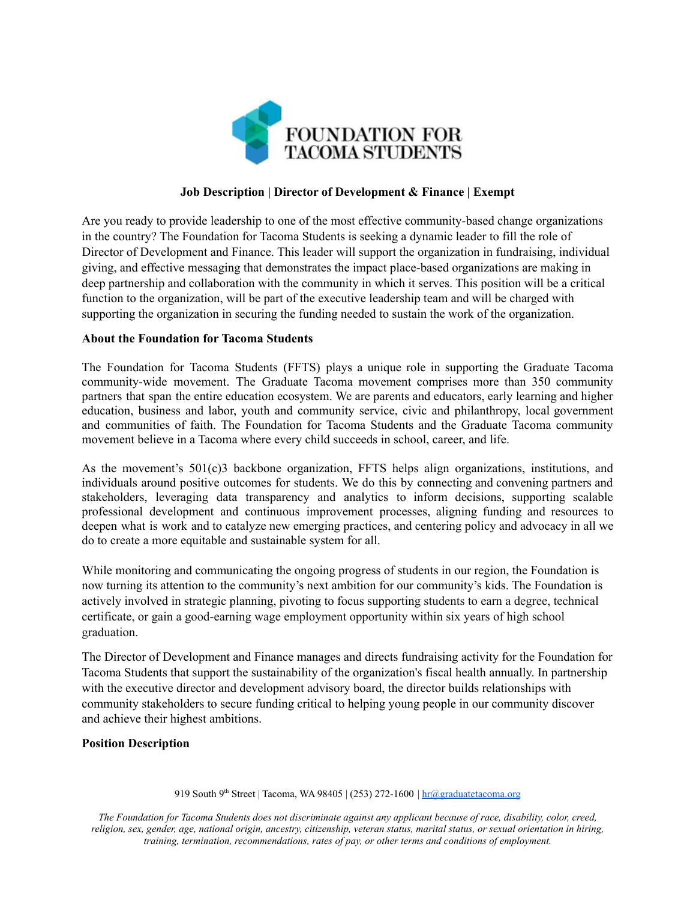

## **Job Description | Director of Development & Finance | Exempt**

Are you ready to provide leadership to one of the most effective community-based change organizations in the country? The Foundation for Tacoma Students is seeking a dynamic leader to fill the role of Director of Development and Finance. This leader will support the organization in fundraising, individual giving, and effective messaging that demonstrates the impact place-based organizations are making in deep partnership and collaboration with the community in which it serves. This position will be a critical function to the organization, will be part of the executive leadership team and will be charged with supporting the organization in securing the funding needed to sustain the work of the organization.

## **About the Foundation for Tacoma Students**

The Foundation for Tacoma Students (FFTS) plays a unique role in supporting the Graduate Tacoma community-wide movement. The Graduate Tacoma movement comprises more than 350 community partners that span the entire education ecosystem. We are parents and educators, early learning and higher education, business and labor, youth and community service, civic and philanthropy, local government and communities of faith. The Foundation for Tacoma Students and the Graduate Tacoma community movement believe in a Tacoma where every child succeeds in school, career, and life.

As the movement's 501(c)3 backbone organization, FFTS helps align organizations, institutions, and individuals around positive outcomes for students. We do this by connecting and convening partners and stakeholders, leveraging data transparency and analytics to inform decisions, supporting scalable professional development and continuous improvement processes, aligning funding and resources to deepen what is work and to catalyze new emerging practices, and centering policy and advocacy in all we do to create a more equitable and sustainable system for all.

While monitoring and communicating the ongoing progress of students in our region, the Foundation is now turning its attention to the community's next ambition for our community's kids. The Foundation is actively involved in strategic planning, pivoting to focus supporting students to earn a degree, technical certificate, or gain a good-earning wage employment opportunity within six years of high school graduation.

The Director of Development and Finance manages and directs fundraising activity for the Foundation for Tacoma Students that support the sustainability of the organization's fiscal health annually. In partnership with the executive director and development advisory board, the director builds relationships with community stakeholders to secure funding critical to helping young people in our community discover and achieve their highest ambitions.

### **Position Description**

919 South 9<sup>th</sup> Street | Tacoma, WA 98405 | (253) 272-1600 |  $\frac{hr@graduatetacoma.org}{hr@graduatetac$  $\frac{hr@graduatetacoma.org}{hr@graduatetac$  $\frac{hr@graduatetacoma.org}{hr@graduatetac$ </mark>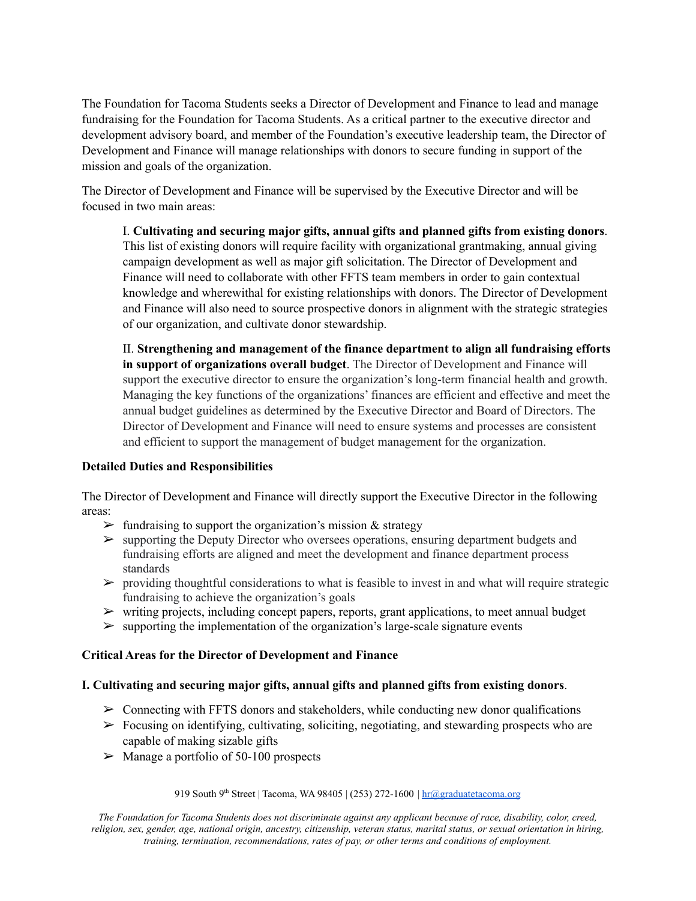The Foundation for Tacoma Students seeks a Director of Development and Finance to lead and manage fundraising for the Foundation for Tacoma Students. As a critical partner to the executive director and development advisory board, and member of the Foundation's executive leadership team, the Director of Development and Finance will manage relationships with donors to secure funding in support of the mission and goals of the organization.

The Director of Development and Finance will be supervised by the Executive Director and will be focused in two main areas:

I. **Cultivating and securing major gifts, annual gifts and planned gifts from existing donors**. This list of existing donors will require facility with organizational grantmaking, annual giving campaign development as well as major gift solicitation. The Director of Development and Finance will need to collaborate with other FFTS team members in order to gain contextual knowledge and wherewithal for existing relationships with donors. The Director of Development and Finance will also need to source prospective donors in alignment with the strategic strategies of our organization, and cultivate donor stewardship.

II. **Strengthening and management of the finance department to align all fundraising efforts in support of organizations overall budget**. The Director of Development and Finance will support the executive director to ensure the organization's long-term financial health and growth. Managing the key functions of the organizations' finances are efficient and effective and meet the annual budget guidelines as determined by the Executive Director and Board of Directors. The Director of Development and Finance will need to ensure systems and processes are consistent and efficient to support the management of budget management for the organization.

## **Detailed Duties and Responsibilities**

The Director of Development and Finance will directly support the Executive Director in the following areas:

- $\triangleright$  fundraising to support the organization's mission & strategy
- $\triangleright$  supporting the Deputy Director who oversees operations, ensuring department budgets and fundraising efforts are aligned and meet the development and finance department process standards
- $\triangleright$  providing thoughtful considerations to what is feasible to invest in and what will require strategic fundraising to achieve the organization's goals
- $\triangleright$  writing projects, including concept papers, reports, grant applications, to meet annual budget
- $\triangleright$  supporting the implementation of the organization's large-scale signature events

## **Critical Areas for the Director of Development and Finance**

# **I. Cultivating and securing major gifts, annual gifts and planned gifts from existing donors**.

- $\triangleright$  Connecting with FFTS donors and stakeholders, while conducting new donor qualifications
- $\triangleright$  Focusing on identifying, cultivating, soliciting, negotiating, and stewarding prospects who are capable of making sizable gifts
- $\triangleright$  Manage a portfolio of 50-100 prospects

### 919 South 9<sup>th</sup> Street | Tacoma, WA 98405 | (253) 272-1600 | [hr@graduatetacoma.org](mailto:hr@graduatetacoma.org)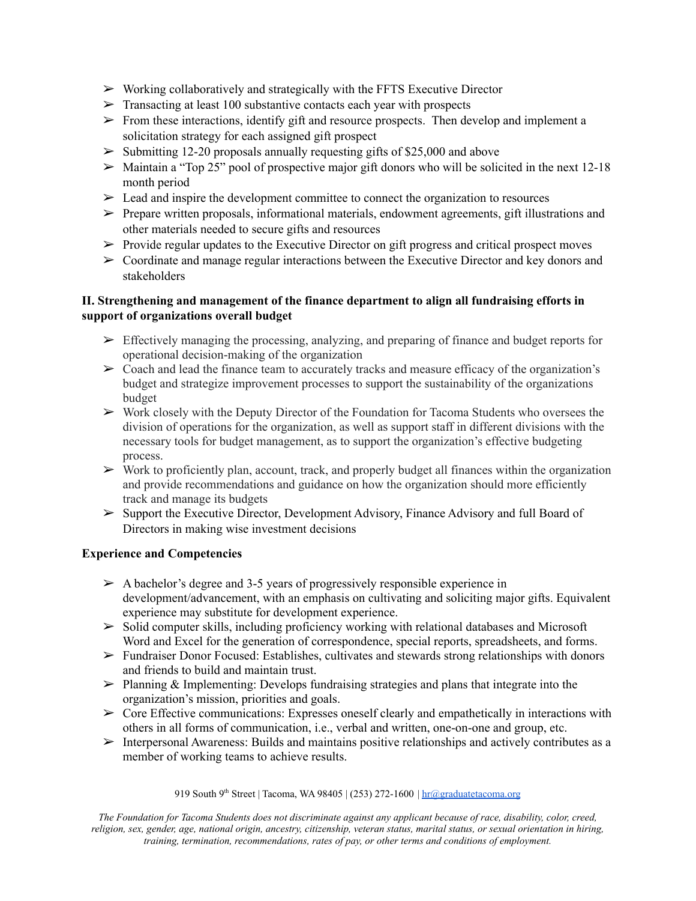- $\triangleright$  Working collaboratively and strategically with the FFTS Executive Director
- $\triangleright$  Transacting at least 100 substantive contacts each year with prospects
- $\triangleright$  From these interactions, identify gift and resource prospects. Then develop and implement a solicitation strategy for each assigned gift prospect
- $\geq$  Submitting 12-20 proposals annually requesting gifts of \$25,000 and above
- $\geq$  Maintain a "Top 25" pool of prospective major gift donors who will be solicited in the next 12-18 month period
- $\geq$  Lead and inspire the development committee to connect the organization to resources
- $\triangleright$  Prepare written proposals, informational materials, endowment agreements, gift illustrations and other materials needed to secure gifts and resources
- $\triangleright$  Provide regular updates to the Executive Director on gift progress and critical prospect moves
- $\triangleright$  Coordinate and manage regular interactions between the Executive Director and key donors and stakeholders

# **II. Strengthening and management of the finance department to align all fundraising efforts in support of organizations overall budget**

- $\triangleright$  Effectively managing the processing, analyzing, and preparing of finance and budget reports for operational decision-making of the organization
- $\geq$  Coach and lead the finance team to accurately tracks and measure efficacy of the organization's budget and strategize improvement processes to support the sustainability of the organizations budget
- ➢ Work closely with the Deputy Director of the Foundation for Tacoma Students who oversees the division of operations for the organization, as well as support staff in different divisions with the necessary tools for budget management, as to support the organization's effective budgeting process.
- $\triangleright$  Work to proficiently plan, account, track, and properly budget all finances within the organization and provide recommendations and guidance on how the organization should more efficiently track and manage its budgets
- ➢ Support the Executive Director, Development Advisory, Finance Advisory and full Board of Directors in making wise investment decisions

# **Experience and Competencies**

- $\geq$  A bachelor's degree and 3-5 years of progressively responsible experience in development/advancement, with an emphasis on cultivating and soliciting major gifts. Equivalent experience may substitute for development experience.
- $\triangleright$  Solid computer skills, including proficiency working with relational databases and Microsoft Word and Excel for the generation of correspondence, special reports, spreadsheets, and forms.
- ➢ Fundraiser Donor Focused: Establishes, cultivates and stewards strong relationships with donors and friends to build and maintain trust.
- $\triangleright$  Planning & Implementing: Develops fundraising strategies and plans that integrate into the organization's mission, priorities and goals.
- $\triangleright$  Core Effective communications: Expresses oneself clearly and empathetically in interactions with others in all forms of communication, i.e., verbal and written, one-on-one and group, etc.
- $\triangleright$  Interpersonal Awareness: Builds and maintains positive relationships and actively contributes as a member of working teams to achieve results.

### 919 South 9<sup>th</sup> Street | Tacoma, WA 98405 | (253) 272-1600 |  $\frac{hr@graduatetacoma.org}{hr@graduatetac$  $\frac{hr@graduatetacoma.org}{hr@graduatetac$  $\frac{hr@graduatetacoma.org}{hr@graduatetac$ </mark>